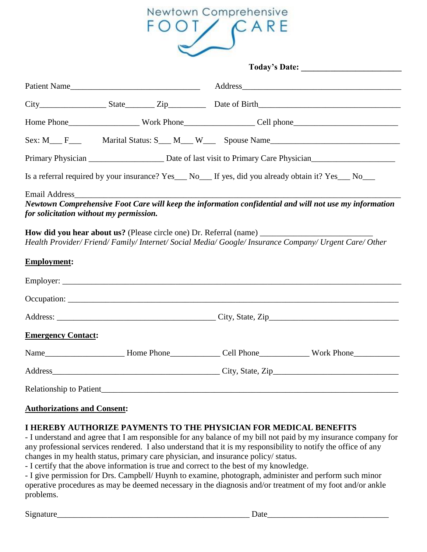

|                           |               |                                                                                                        | Sex: M <sub>nn</sub> F <sub>nn</sub> Marital Status: S <sub>nn</sub> M <sub>nn</sub> W <sub>nn</sub> Spouse Name |
|---------------------------|---------------|--------------------------------------------------------------------------------------------------------|------------------------------------------------------------------------------------------------------------------|
|                           |               |                                                                                                        |                                                                                                                  |
|                           |               | Is a referral required by your insurance? Yes___ No___ If yes, did you already obtain it? Yes___ No___ |                                                                                                                  |
|                           | Email Address |                                                                                                        |                                                                                                                  |
| <b>Employment:</b>        |               | How did you hear about us? (Please circle one) Dr. Referral (name) _____________                       | Health Provider/Friend/Family/Internet/Social Media/Google/Insurance Company/Urgent Care/Other                   |
|                           |               |                                                                                                        |                                                                                                                  |
|                           |               |                                                                                                        |                                                                                                                  |
|                           |               |                                                                                                        |                                                                                                                  |
| <b>Emergency Contact:</b> |               |                                                                                                        |                                                                                                                  |
|                           |               |                                                                                                        |                                                                                                                  |
|                           |               |                                                                                                        |                                                                                                                  |
|                           |               |                                                                                                        |                                                                                                                  |

# **Authorizations and Consent:**

## **I HEREBY AUTHORIZE PAYMENTS TO THE PHYSICIAN FOR MEDICAL BENEFITS**

- I understand and agree that I am responsible for any balance of my bill not paid by my insurance company for any professional services rendered. I also understand that it is my responsibility to notify the office of any changes in my health status, primary care physician, and insurance policy/ status.

- I certify that the above information is true and correct to the best of my knowledge.

- I give permission for Drs. Campbell/ Huynh to examine, photograph, administer and perform such minor operative procedures as may be deemed necessary in the diagnosis and/or treatment of my foot and/or ankle problems.

Signature\_\_\_\_\_\_\_\_\_\_\_\_\_\_\_\_\_\_\_\_\_\_\_\_\_\_\_\_\_\_\_\_\_\_\_\_\_\_\_\_\_\_\_\_\_\_ Date\_\_\_\_\_\_\_\_\_\_\_\_\_\_\_\_\_\_\_\_\_\_\_\_\_\_\_\_\_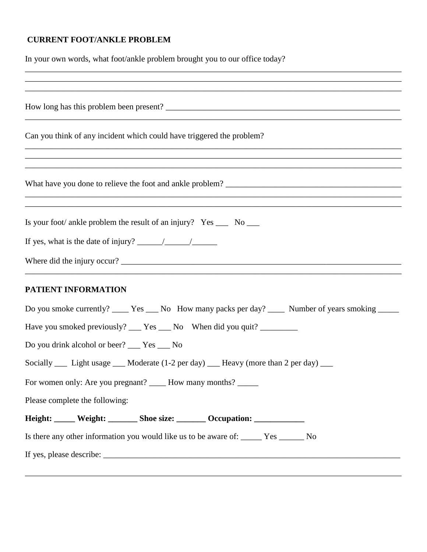# **CURRENT FOOT/ANKLE PROBLEM**

In your own words, what foot/ankle problem brought you to our office today?

| ,我们也不会有什么。""我们的人,我们也不会有什么?""我们的人,我们也不会有什么?""我们的人,我们也不会有什么?""我们的人,我们也不会有什么?""我们的人                                                                           |
|------------------------------------------------------------------------------------------------------------------------------------------------------------|
| Can you think of any incident which could have triggered the problem?<br>,我们也不能在这里的时候,我们也不能在这里的时候,我们也不能会在这里的时候,我们也不能会在这里的时候,我们也不能会在这里的时候,我们也不能会在这里的时候,我们也不 |
| <u> 2000 - 2000 - 2000 - 2000 - 2000 - 2000 - 2000 - 2000 - 2000 - 2000 - 2000 - 2000 - 2000 - 2000 - 2000 - 200</u>                                       |
| Is your foot/ ankle problem the result of an injury? $Yes \_\_\_$ No $\_\_\_\$                                                                             |
| If yes, what is the date of injury? $\frac{\sqrt{2}}{2}$                                                                                                   |
| Where did the injury occur?                                                                                                                                |
| PATIENT INFORMATION                                                                                                                                        |
| Do you smoke currently? _____ Yes ____ No How many packs per day? _____ Number of years smoking _____                                                      |
| Have you smoked previously? ___ Yes ___ No When did you quit? _________                                                                                    |
| Do you drink alcohol or beer? ___ Yes ___ No                                                                                                               |
| Socially _____ Light usage _____ Moderate (1-2 per day) _____ Heavy (more than 2 per day) ____                                                             |
| For women only: Are you pregnant? _____ How many months? ______                                                                                            |
| Please complete the following:                                                                                                                             |
| Height: Weight: Shoe size: Occupation: Neight:                                                                                                             |
| Is there any other information you would like us to be aware of: _____ Yes _____ No                                                                        |
|                                                                                                                                                            |

\_\_\_\_\_\_\_\_\_\_\_\_\_\_\_\_\_\_\_\_\_\_\_\_\_\_\_\_\_\_\_\_\_\_\_\_\_\_\_\_\_\_\_\_\_\_\_\_\_\_\_\_\_\_\_\_\_\_\_\_\_\_\_\_\_\_\_\_\_\_\_\_\_\_\_\_\_\_\_\_\_\_\_\_\_\_\_\_\_\_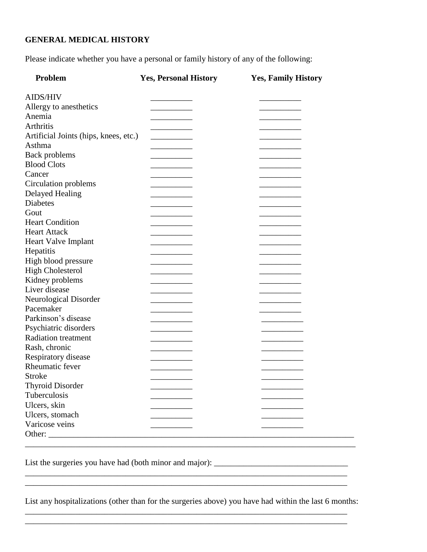## **GENERAL MEDICAL HISTORY**

Please indicate whether you have a personal or family history of any of the following:

| Problem                               | <b>Yes, Personal History</b> | <b>Yes, Family History</b> |
|---------------------------------------|------------------------------|----------------------------|
| <b>AIDS/HIV</b>                       |                              |                            |
| Allergy to anesthetics                |                              |                            |
| Anemia                                |                              |                            |
| Arthritis                             |                              |                            |
| Artificial Joints (hips, knees, etc.) |                              |                            |
| Asthma                                |                              |                            |
| <b>Back problems</b>                  |                              |                            |
| <b>Blood Clots</b>                    |                              |                            |
| Cancer                                |                              |                            |
| Circulation problems                  |                              |                            |
| <b>Delayed Healing</b>                |                              |                            |
| <b>Diabetes</b>                       |                              |                            |
| Gout                                  |                              |                            |
| <b>Heart Condition</b>                |                              |                            |
| <b>Heart Attack</b>                   |                              |                            |
| Heart Valve Implant                   |                              |                            |
| Hepatitis                             |                              |                            |
| High blood pressure                   |                              |                            |
| <b>High Cholesterol</b>               |                              |                            |
| Kidney problems                       |                              |                            |
| Liver disease                         |                              |                            |
| Neurological Disorder                 |                              |                            |
| Pacemaker                             |                              |                            |
| Parkinson's disease                   |                              |                            |
| Psychiatric disorders                 |                              |                            |
| <b>Radiation treatment</b>            |                              |                            |
| Rash, chronic                         |                              |                            |
| Respiratory disease                   |                              |                            |
| Rheumatic fever                       |                              |                            |
| <b>Stroke</b>                         |                              |                            |
| <b>Thyroid Disorder</b>               |                              |                            |
| Tuberculosis                          |                              |                            |
| Ulcers, skin                          |                              |                            |
| Ulcers, stomach                       |                              |                            |
| Varicose veins                        |                              |                            |
| Other: $\_\_$                         |                              |                            |

List the surgeries you have had (both minor and major): \_\_\_\_\_\_\_\_\_\_\_\_\_\_\_\_\_\_\_\_\_\_\_\_\_ \_\_\_\_\_\_\_\_\_\_\_\_\_\_\_\_\_\_\_\_\_\_\_\_\_\_\_\_\_\_\_\_\_\_\_\_\_\_\_\_\_\_\_\_\_\_\_\_\_\_\_\_\_\_\_\_\_\_\_\_\_\_\_\_\_\_\_\_\_\_\_\_\_\_\_\_\_

List any hospitalizations (other than for the surgeries above) you have had within the last 6 months:

\_\_\_\_\_\_\_\_\_\_\_\_\_\_\_\_\_\_\_\_\_\_\_\_\_\_\_\_\_\_\_\_\_\_\_\_\_\_\_\_\_\_\_\_\_\_\_\_\_\_\_\_\_\_\_\_\_\_\_\_\_\_\_\_\_\_\_\_\_\_\_\_\_\_\_\_\_ \_\_\_\_\_\_\_\_\_\_\_\_\_\_\_\_\_\_\_\_\_\_\_\_\_\_\_\_\_\_\_\_\_\_\_\_\_\_\_\_\_\_\_\_\_\_\_\_\_\_\_\_\_\_\_\_\_\_\_\_\_\_\_\_\_\_\_\_\_\_\_\_\_\_\_\_\_

 $\mathcal{L}_\mathcal{L} = \mathcal{L}_\mathcal{L} = \mathcal{L}_\mathcal{L} = \mathcal{L}_\mathcal{L} = \mathcal{L}_\mathcal{L} = \mathcal{L}_\mathcal{L} = \mathcal{L}_\mathcal{L} = \mathcal{L}_\mathcal{L} = \mathcal{L}_\mathcal{L} = \mathcal{L}_\mathcal{L} = \mathcal{L}_\mathcal{L} = \mathcal{L}_\mathcal{L} = \mathcal{L}_\mathcal{L} = \mathcal{L}_\mathcal{L} = \mathcal{L}_\mathcal{L} = \mathcal{L}_\mathcal{L} = \mathcal{L}_\mathcal{L}$ 

\_\_\_\_\_\_\_\_\_\_\_\_\_\_\_\_\_\_\_\_\_\_\_\_\_\_\_\_\_\_\_\_\_\_\_\_\_\_\_\_\_\_\_\_\_\_\_\_\_\_\_\_\_\_\_\_\_\_\_\_\_\_\_\_\_\_\_\_\_\_\_\_\_\_\_\_\_\_\_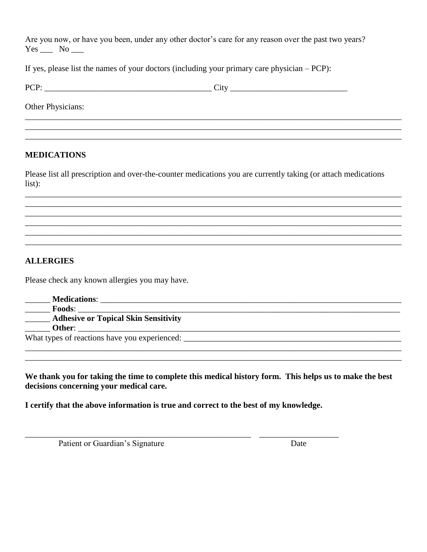Are you now, or have you been, under any other doctor's care for any reason over the past two years?  $Yes$  No \_\_\_\_\_

If yes, please list the names of your doctors (including your primary care physician – PCP):

| PCP:              | City |
|-------------------|------|
| Other Physicians: |      |
|                   |      |

\_\_\_\_\_\_\_\_\_\_\_\_\_\_\_\_\_\_\_\_\_\_\_\_\_\_\_\_\_\_\_\_\_\_\_\_\_\_\_\_\_\_\_\_\_\_\_\_\_\_\_\_\_\_\_\_\_\_\_\_\_\_\_\_\_\_\_\_\_\_\_\_\_\_\_\_\_\_\_\_\_\_\_\_\_\_\_\_\_\_

# **MEDICATIONS**

Please list all prescription and over-the-counter medications you are currently taking (or attach medications list): \_\_\_\_\_\_\_\_\_\_\_\_\_\_\_\_\_\_\_\_\_\_\_\_\_\_\_\_\_\_\_\_\_\_\_\_\_\_\_\_\_\_\_\_\_\_\_\_\_\_\_\_\_\_\_\_\_\_\_\_\_\_\_\_\_\_\_\_\_\_\_\_\_\_\_\_\_\_\_\_\_\_\_\_\_\_\_\_\_\_

\_\_\_\_\_\_\_\_\_\_\_\_\_\_\_\_\_\_\_\_\_\_\_\_\_\_\_\_\_\_\_\_\_\_\_\_\_\_\_\_\_\_\_\_\_\_\_\_\_\_\_\_\_\_\_\_\_\_\_\_\_\_\_\_\_\_\_\_\_\_\_\_\_\_\_\_\_\_\_\_\_\_\_\_\_\_\_\_\_\_ \_\_\_\_\_\_\_\_\_\_\_\_\_\_\_\_\_\_\_\_\_\_\_\_\_\_\_\_\_\_\_\_\_\_\_\_\_\_\_\_\_\_\_\_\_\_\_\_\_\_\_\_\_\_\_\_\_\_\_\_\_\_\_\_\_\_\_\_\_\_\_\_\_\_\_\_\_\_\_\_\_\_\_\_\_\_\_\_\_\_ \_\_\_\_\_\_\_\_\_\_\_\_\_\_\_\_\_\_\_\_\_\_\_\_\_\_\_\_\_\_\_\_\_\_\_\_\_\_\_\_\_\_\_\_\_\_\_\_\_\_\_\_\_\_\_\_\_\_\_\_\_\_\_\_\_\_\_\_\_\_\_\_\_\_\_\_\_\_\_\_\_\_\_\_\_\_\_\_\_\_ \_\_\_\_\_\_\_\_\_\_\_\_\_\_\_\_\_\_\_\_\_\_\_\_\_\_\_\_\_\_\_\_\_\_\_\_\_\_\_\_\_\_\_\_\_\_\_\_\_\_\_\_\_\_\_\_\_\_\_\_\_\_\_\_\_\_\_\_\_\_\_\_\_\_\_\_\_\_\_\_\_\_\_\_\_\_\_\_\_\_ \_\_\_\_\_\_\_\_\_\_\_\_\_\_\_\_\_\_\_\_\_\_\_\_\_\_\_\_\_\_\_\_\_\_\_\_\_\_\_\_\_\_\_\_\_\_\_\_\_\_\_\_\_\_\_\_\_\_\_\_\_\_\_\_\_\_\_\_\_\_\_\_\_\_\_\_\_\_\_\_\_\_\_\_\_\_\_\_\_\_

# **ALLERGIES**

Please check any known allergies you may have.

| <b>Medications:</b>                                                               |  |
|-----------------------------------------------------------------------------------|--|
| Foods: $\qquad \qquad$                                                            |  |
| <b>Adhesive or Topical Skin Sensitivity</b>                                       |  |
|                                                                                   |  |
| What types of reactions have you experienced: ___________________________________ |  |
|                                                                                   |  |

\_\_\_\_\_\_\_\_\_\_\_\_\_\_\_\_\_\_\_\_\_\_\_\_\_\_\_\_\_\_\_\_\_\_\_\_\_\_\_\_\_\_\_\_\_\_\_\_\_\_\_\_\_\_\_\_\_\_\_\_\_\_\_\_\_\_\_\_\_\_\_\_\_\_\_\_\_\_\_\_\_\_\_\_\_\_\_\_\_\_

**We thank you for taking the time to complete this medical history form. This helps us to make the best decisions concerning your medical care.**

**I certify that the above information is true and correct to the best of my knowledge.** 

\_\_\_\_\_\_\_\_\_\_\_\_\_\_\_\_\_\_\_\_\_\_\_\_\_\_\_\_\_\_\_\_\_\_\_\_\_\_\_\_\_\_\_\_\_\_\_\_\_\_\_\_\_\_ \_\_\_\_\_\_\_\_\_\_\_\_\_\_\_\_\_\_\_

Patient or Guardian's Signature Date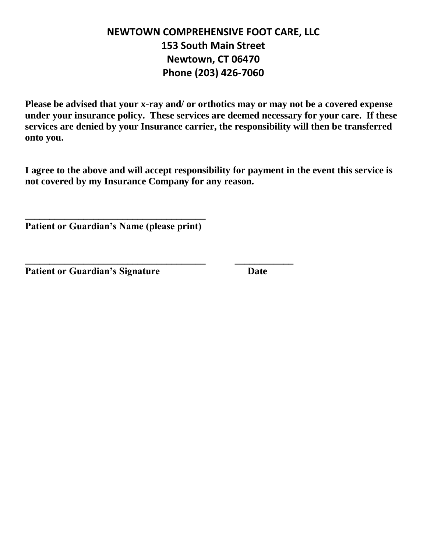# **NEWTOWN COMPREHENSIVE FOOT CARE, LLC 153 South Main Street Newtown, CT 06470 Phone (203) 426-7060**

**Please be advised that your x-ray and/ or orthotics may or may not be a covered expense under your insurance policy. These services are deemed necessary for your care. If these services are denied by your Insurance carrier, the responsibility will then be transferred onto you.** 

**I agree to the above and will accept responsibility for payment in the event this service is not covered by my Insurance Company for any reason.** 

**\_\_\_\_\_\_\_\_\_\_\_\_\_\_\_\_\_\_\_\_\_\_\_\_\_\_\_\_\_\_\_\_\_\_\_\_\_ Patient or Guardian's Name (please print)**

**\_\_\_\_\_\_\_\_\_\_\_\_\_\_\_\_\_\_\_\_\_\_\_\_\_\_\_\_\_\_\_\_\_\_\_\_\_ \_\_\_\_\_\_\_\_\_\_\_\_**

**Patient or Guardian's Signature Date Date**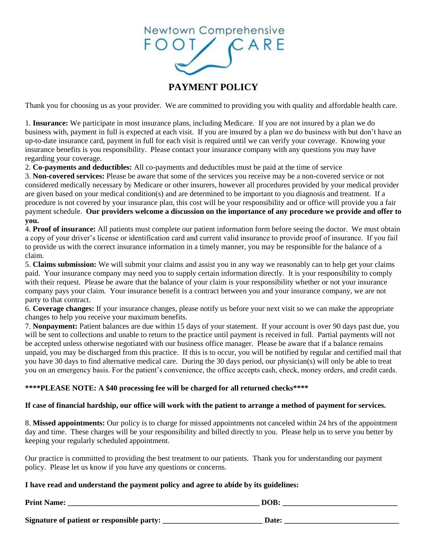

# **PAYMENT POLICY**

Thank you for choosing us as your provider. We are committed to providing you with quality and affordable health care.

1. **Insurance:** We participate in most insurance plans, including Medicare. If you are not insured by a plan we do business with, payment in full is expected at each visit. If you are insured by a plan we do business with but don't have an up-to-date insurance card, payment in full for each visit is required until we can verify your coverage. Knowing your insurance benefits is you responsibility. Please contact your insurance company with any questions you may have regarding your coverage.

2. **Co-payments and deductibles:** All co-payments and deductibles must be paid at the time of service

3. **Non-covered services:** Please be aware that some of the services you receive may be a non-covered service or not considered medically necessary by Medicare or other insurers, however all procedures provided by your medical provider are given based on your medical condition(s) and are determined to be important to you diagnosis and treatment. If a procedure is not covered by your insurance plan, this cost will be your responsibility and or office will provide you a fair payment schedule. **Our providers welcome a discussion on the importance of any procedure we provide and offer to you.**

4. **Proof of insurance:** All patients must complete our patient information form before seeing the doctor. We must obtain a copy of your driver's license or identification card and current valid insurance to provide proof of insurance. If you fail to provide us with the correct insurance information in a timely manner, you may be responsible for the balance of a claim.

5. **Claims submission:** We will submit your claims and assist you in any way we reasonably can to help get your claims paid. Your insurance company may need you to supply certain information directly. It is your responsibility to comply with their request. Please be aware that the balance of your claim is your responsibility whether or not your insurance company pays your claim. Your insurance benefit is a contract between you and your insurance company, we are not party to that contract.

6. **Coverage changes:** If your insurance changes, please notify us before your next visit so we can make the appropriate changes to help you receive your maximum benefits.

7. **Nonpayment:** Patient balances are due within 15 days of your statement. If your account is over 90 days past due, you will be sent to collections and unable to return to the practice until payment is received in full. Partial payments will not be accepted unless otherwise negotiated with our business office manager. Please be aware that if a balance remains unpaid, you may be discharged from this practice. If this is to occur, you will be notified by regular and certified mail that you have 30 days to find alternative medical care. During the 30 days period, our physician(s) will only be able to treat you on an emergency basis. For the patient's convenience, the office accepts cash, check, money orders, and credit cards.

## **\*\*\*\*PLEASE NOTE: A \$40 processing fee will be charged for all returned checks\*\*\*\***

## **If case of financial hardship, our office will work with the patient to arrange a method of payment for services.**

8. **Missed appointments:** Our policy is to charge for missed appointments not canceled within 24 hrs of the appointment day and time. These charges will be your responsibility and billed directly to you. Please help us to serve you better by keeping your regularly scheduled appointment.

Our practice is committed to providing the best treatment to our patients. Thank you for understanding our payment policy. Please let us know if you have any questions or concerns.

## **I have read and understand the payment policy and agree to abide by its guidelines:**

**Print Name: \_\_\_\_\_\_\_\_\_\_\_\_\_\_\_\_\_\_\_\_\_\_\_\_\_\_\_\_\_\_\_\_\_\_\_\_\_\_\_\_\_\_\_\_\_\_\_\_\_\_ DOB: \_\_\_\_\_\_\_\_\_\_\_\_\_\_\_\_\_\_\_\_\_\_\_\_\_\_\_\_\_\_** Signature of patient or responsible party: **Example 2 Date:**  $\blacksquare$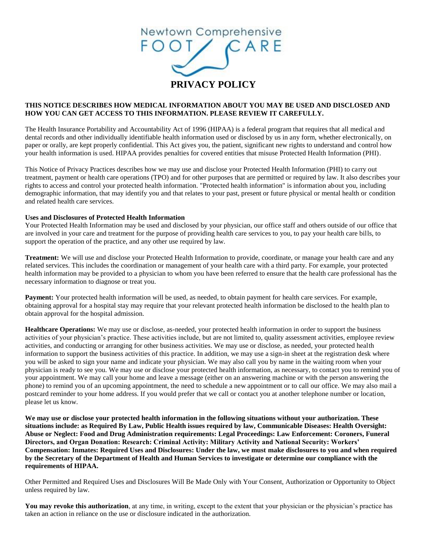

### **THIS NOTICE DESCRIBES HOW MEDICAL INFORMATION ABOUT YOU MAY BE USED AND DISCLOSED AND HOW YOU CAN GET ACCESS TO THIS INFORMATION. PLEASE REVIEW IT CAREFULLY.**

The Health Insurance Portability and Accountability Act of 1996 (HIPAA) is a federal program that requires that all medical and dental records and other individually identifiable health information used or disclosed by us in any form, whether electronically, on paper or orally, are kept properly confidential. This Act gives you, the patient, significant new rights to understand and control how your health information is used. HIPAA provides penalties for covered entities that misuse Protected Health Information (PHI).

This Notice of Privacy Practices describes how we may use and disclose your Protected Health Information (PHI) to carry out treatment, payment or health care operations (TPO) and for other purposes that are permitted or required by law. It also describes your rights to access and control your protected health information. "Protected health information" is information about you, including demographic information, that may identify you and that relates to your past, present or future physical or mental health or condition and related health care services.

#### **Uses and Disclosures of Protected Health Information**

Your Protected Health Information may be used and disclosed by your physician, our office staff and others outside of our office that are involved in your care and treatment for the purpose of providing health care services to you, to pay your health care bills, to support the operation of the practice, and any other use required by law.

**Treatment:** We will use and disclose your Protected Health Information to provide, coordinate, or manage your health care and any related services. This includes the coordination or management of your health care with a third party. For example, your protected health information may be provided to a physician to whom you have been referred to ensure that the health care professional has the necessary information to diagnose or treat you.

**Payment:** Your protected health information will be used, as needed, to obtain payment for health care services. For example, obtaining approval for a hospital stay may require that your relevant protected health information be disclosed to the health plan to obtain approval for the hospital admission.

**Healthcare Operations:** We may use or disclose, as-needed, your protected health information in order to support the business activities of your physician's practice. These activities include, but are not limited to, quality assessment activities, employee review activities, and conducting or arranging for other business activities. We may use or disclose, as needed, your protected health information to support the business activities of this practice. In addition, we may use a sign-in sheet at the registration desk where you will be asked to sign your name and indicate your physician. We may also call you by name in the waiting room when your physician is ready to see you. We may use or disclose your protected health information, as necessary, to contact you to remind you of your appointment. We may call your home and leave a message (either on an answering machine or with the person answering the phone) to remind you of an upcoming appointment, the need to schedule a new appointment or to call our office. We may also mail a postcard reminder to your home address. If you would prefer that we call or contact you at another telephone number or location, please let us know.

**We may use or disclose your protected health information in the following situations without your authorization. These situations include: as Required By Law, Public Health issues required by law, Communicable Diseases: Health Oversight: Abuse or Neglect: Food and Drug Administration requirements: Legal Proceedings: Law Enforcement: Coroners, Funeral Directors, and Organ Donation: Research: Criminal Activity: Military Activity and National Security: Workers' Compensation: Inmates: Required Uses and Disclosures: Under the law, we must make disclosures to you and when required by the Secretary of the Department of Health and Human Services to investigate or determine our compliance with the requirements of HIPAA.**

Other Permitted and Required Uses and Disclosures Will Be Made Only with Your Consent, Authorization or Opportunity to Object unless required by law.

**You may revoke this authorization**, at any time, in writing, except to the extent that your physician or the physician's practice has taken an action in reliance on the use or disclosure indicated in the authorization.